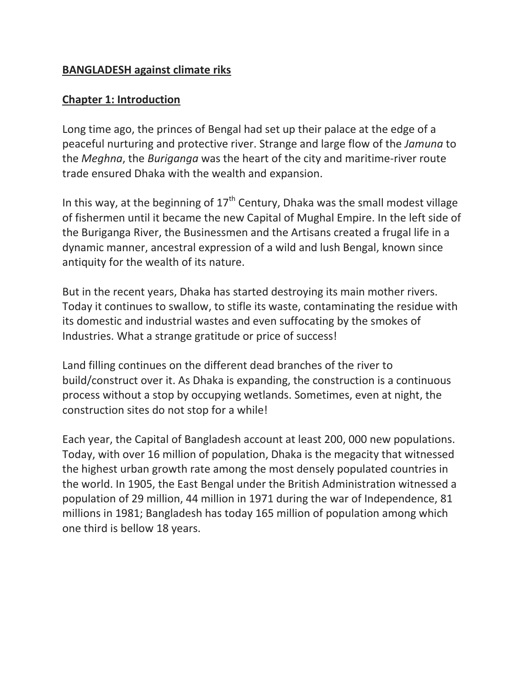#### **BANGLADESH against climate riks**

### **Chapter 1: Introduction**

Long time ago, the princes of Bengal had set up their palace at the edge of a peaceful nurturing and protective river. Strange and large flow of the *Jamuna* to the *Meghna*, the *Buriganga* was the heart of the city and maritime-river route trade ensured Dhaka with the wealth and expansion.

In this way, at the beginning of  $17<sup>th</sup>$  Century, Dhaka was the small modest village of fishermen until it became the new Capital of Mughal Empire. In the left side of the Buriganga River, the Businessmen and the Artisans created a frugal life in a dynamic manner, ancestral expression of a wild and lush Bengal, known since antiquity for the wealth of its nature.

But in the recent years, Dhaka has started destroying its main mother rivers. Today it continues to swallow, to stifle its waste, contaminating the residue with its domestic and industrial wastes and even suffocating by the smokes of Industries. What a strange gratitude or price of success!

Land filling continues on the different dead branches of the river to build/construct over it. As Dhaka is expanding, the construction is a continuous process without a stop by occupying wetlands. Sometimes, even at night, the construction sites do not stop for a while!

Each year, the Capital of Bangladesh account at least 200, 000 new populations. Today, with over 16 million of population, Dhaka is the megacity that witnessed the highest urban growth rate among the most densely populated countries in the world. In 1905, the East Bengal under the British Administration witnessed a population of 29 million, 44 million in 1971 during the war of Independence, 81 millions in 1981; Bangladesh has today 165 million of population among which one third is bellow 18 years.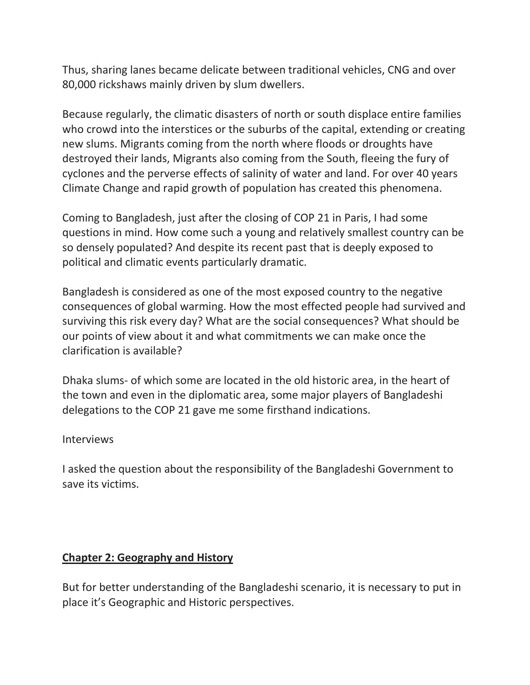Thus, sharing lanes became delicate between traditional vehicles, CNG and over 80,000 rickshaws mainly driven by slum dwellers.

Because regularly, the climatic disasters of north or south displace entire families who crowd into the interstices or the suburbs of the capital, extending or creating new slums. Migrants coming from the north where floods or droughts have destroyed their lands, Migrants also coming from the South, fleeing the fury of cyclones and the perverse effects of salinity of water and land. For over 40 years Climate Change and rapid growth of population has created this phenomena.

Coming to Bangladesh, just after the closing of COP 21 in Paris, I had some questions in mind. How come such a young and relatively smallest country can be so densely populated? And despite its recent past that is deeply exposed to political and climatic events particularly dramatic.

Bangladesh is considered as one of the most exposed country to the negative consequences of global warming. How the most effected people had survived and surviving this risk every day? What are the social consequences? What should be our points of view about it and what commitments we can make once the clarification is available?

Dhaka slums- of which some are located in the old historic area, in the heart of the town and even in the diplomatic area, some major players of Bangladeshi delegations to the COP 21 gave me some firsthand indications.

#### Interviews

I asked the question about the responsibility of the Bangladeshi Government to save its victims.

#### **Chapter 2: Geography and History**

But for better understanding of the Bangladeshi scenario, it is necessary to put in place it's Geographic and Historic perspectives.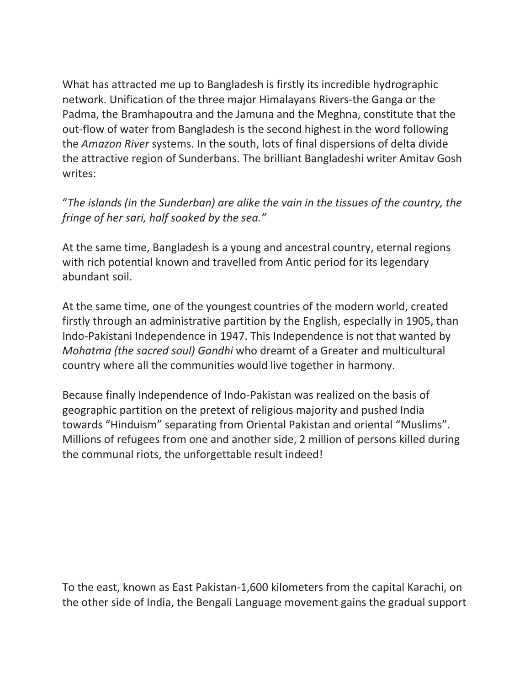What has attracted me up to Bangladesh is firstly its incredible hydrographic network. Unification of the three major Himalayans Rivers-the Ganga or the Padma, the Bramhapoutra and the Jamuna and the Meghna, constitute that the out-flow of water from Bangladesh is the second highest in the word following the *Amazon River* systems. In the south, lots of final dispersions of delta divide the attractive region of Sunderbans. The brilliant Bangladeshi writer Amitav Gosh writes:

"*The islands (in the Sunderban) are alike the vain in the tissues of the country, the fringe of her sari, half soaked by the sea."* 

At the same time, Bangladesh is a young and ancestral country, eternal regions with rich potential known and travelled from Antic period for its legendary abundant soil.

At the same time, one of the youngest countries of the modern world, created firstly through an administrative partition by the English, especially in 1905, than Indo-Pakistani Independence in 1947. This Independence is not that wanted by *Mohatma (the sacred soul) Gandhi* who dreamt of a Greater and multicultural country where all the communities would live together in harmony.

Because finally Independence of Indo-Pakistan was realized on the basis of geographic partition on the pretext of religious majority and pushed India towards "Hinduism" separating from Oriental Pakistan and oriental "Muslims". Millions of refugees from one and another side, 2 million of persons killed during the communal riots, the unforgettable result indeed!

To the east, known as East Pakistan-1,600 kilometers from the capital Karachi, on the other side of India, the Bengali Language movement gains the gradual support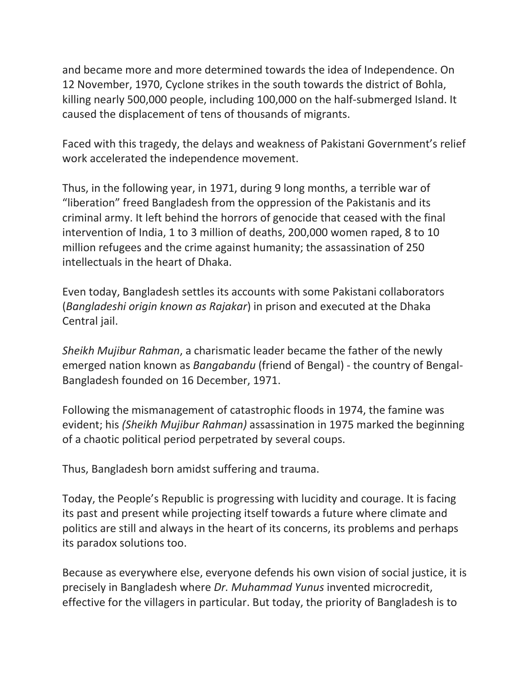and became more and more determined towards the idea of Independence. On 12 November, 1970, Cyclone strikes in the south towards the district of Bohla, killing nearly 500,000 people, including 100,000 on the half-submerged Island. It caused the displacement of tens of thousands of migrants.

Faced with this tragedy, the delays and weakness of Pakistani Government's relief work accelerated the independence movement.

Thus, in the following year, in 1971, during 9 long months, a terrible war of "liberation" freed Bangladesh from the oppression of the Pakistanis and its criminal army. It left behind the horrors of genocide that ceased with the final intervention of India, 1 to 3 million of deaths, 200,000 women raped, 8 to 10 million refugees and the crime against humanity; the assassination of 250 intellectuals in the heart of Dhaka.

Even today, Bangladesh settles its accounts with some Pakistani collaborators (*Bangladeshi origin known as Rajakar*) in prison and executed at the Dhaka Central jail.

*Sheikh Mujibur Rahman*, a charismatic leader became the father of the newly emerged nation known as *Bangabandu* (friend of Bengal) - the country of Bengal-Bangladesh founded on 16 December, 1971.

Following the mismanagement of catastrophic floods in 1974, the famine was evident; his *(Sheikh Mujibur Rahman)* assassination in 1975 marked the beginning of a chaotic political period perpetrated by several coups.

Thus, Bangladesh born amidst suffering and trauma.

Today, the People's Republic is progressing with lucidity and courage. It is facing its past and present while projecting itself towards a future where climate and politics are still and always in the heart of its concerns, its problems and perhaps its paradox solutions too.

Because as everywhere else, everyone defends his own vision of social justice, it is precisely in Bangladesh where *Dr. Muhammad Yunus* invented microcredit, effective for the villagers in particular. But today, the priority of Bangladesh is to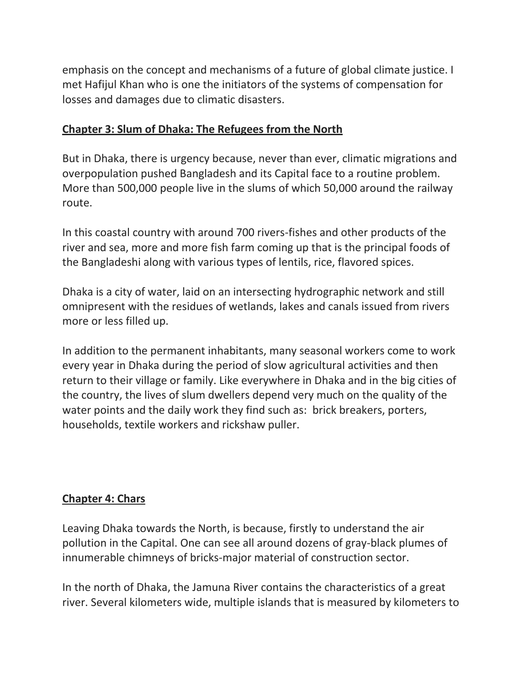emphasis on the concept and mechanisms of a future of global climate justice. I met Hafijul Khan who is one the initiators of the systems of compensation for losses and damages due to climatic disasters.

## **Chapter 3: Slum of Dhaka: The Refugees from the North**

But in Dhaka, there is urgency because, never than ever, climatic migrations and overpopulation pushed Bangladesh and its Capital face to a routine problem. More than 500,000 people live in the slums of which 50,000 around the railway route.

In this coastal country with around 700 rivers-fishes and other products of the river and sea, more and more fish farm coming up that is the principal foods of the Bangladeshi along with various types of lentils, rice, flavored spices.

Dhaka is a city of water, laid on an intersecting hydrographic network and still omnipresent with the residues of wetlands, lakes and canals issued from rivers more or less filled up.

In addition to the permanent inhabitants, many seasonal workers come to work every year in Dhaka during the period of slow agricultural activities and then return to their village or family. Like everywhere in Dhaka and in the big cities of the country, the lives of slum dwellers depend very much on the quality of the water points and the daily work they find such as: brick breakers, porters, households, textile workers and rickshaw puller.

# **Chapter 4: Chars**

Leaving Dhaka towards the North, is because, firstly to understand the air pollution in the Capital. One can see all around dozens of gray-black plumes of innumerable chimneys of bricks-major material of construction sector.

In the north of Dhaka, the Jamuna River contains the characteristics of a great river. Several kilometers wide, multiple islands that is measured by kilometers to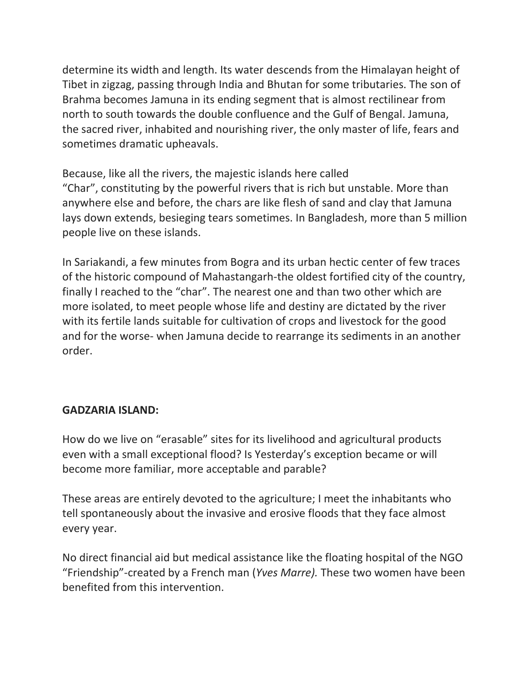determine its width and length. Its water descends from the Himalayan height of Tibet in zigzag, passing through India and Bhutan for some tributaries. The son of Brahma becomes Jamuna in its ending segment that is almost rectilinear from north to south towards the double confluence and the Gulf of Bengal. Jamuna, the sacred river, inhabited and nourishing river, the only master of life, fears and sometimes dramatic upheavals.

Because, like all the rivers, the majestic islands here called "Char", constituting by the powerful rivers that is rich but unstable. More than anywhere else and before, the chars are like flesh of sand and clay that Jamuna lays down extends, besieging tears sometimes. In Bangladesh, more than 5 million people live on these islands.

In Sariakandi, a few minutes from Bogra and its urban hectic center of few traces of the historic compound of Mahastangarh-the oldest fortified city of the country, finally I reached to the "char". The nearest one and than two other which are more isolated, to meet people whose life and destiny are dictated by the river with its fertile lands suitable for cultivation of crops and livestock for the good and for the worse- when Jamuna decide to rearrange its sediments in an another order.

## **GADZARIA ISLAND:**

How do we live on "erasable" sites for its livelihood and agricultural products even with a small exceptional flood? Is Yesterday's exception became or will become more familiar, more acceptable and parable?

These areas are entirely devoted to the agriculture; I meet the inhabitants who tell spontaneously about the invasive and erosive floods that they face almost every year.

No direct financial aid but medical assistance like the floating hospital of the NGO "Friendship"-created by a French man (*Yves Marre).* These two women have been benefited from this intervention.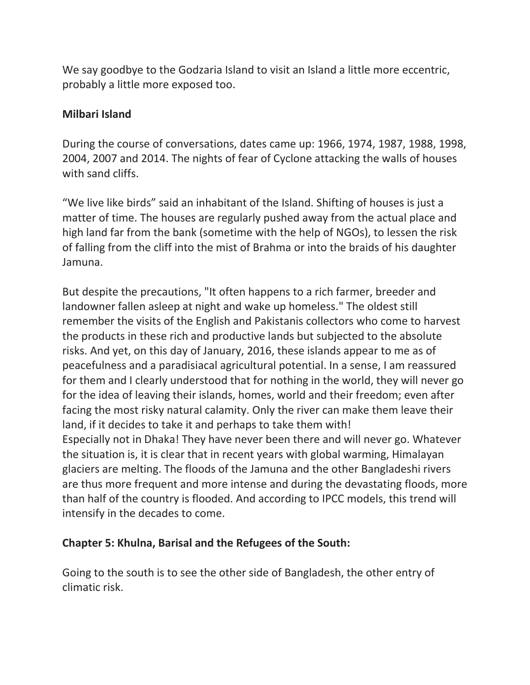We say goodbye to the Godzaria Island to visit an Island a little more eccentric, probably a little more exposed too.

#### **Milbari Island**

During the course of conversations, dates came up: 1966, 1974, 1987, 1988, 1998, 2004, 2007 and 2014. The nights of fear of Cyclone attacking the walls of houses with sand cliffs.

"We live like birds" said an inhabitant of the Island. Shifting of houses is just a matter of time. The houses are regularly pushed away from the actual place and high land far from the bank (sometime with the help of NGOs), to lessen the risk of falling from the cliff into the mist of Brahma or into the braids of his daughter Jamuna.

But despite the precautions, "It often happens to a rich farmer, breeder and landowner fallen asleep at night and wake up homeless." The oldest still remember the visits of the English and Pakistanis collectors who come to harvest the products in these rich and productive lands but subjected to the absolute risks. And yet, on this day of January, 2016, these islands appear to me as of peacefulness and a paradisiacal agricultural potential. In a sense, I am reassured for them and I clearly understood that for nothing in the world, they will never go for the idea of leaving their islands, homes, world and their freedom; even after facing the most risky natural calamity. Only the river can make them leave their land, if it decides to take it and perhaps to take them with! Especially not in Dhaka! They have never been there and will never go. Whatever the situation is, it is clear that in recent years with global warming, Himalayan glaciers are melting. The floods of the Jamuna and the other Bangladeshi rivers are thus more frequent and more intense and during the devastating floods, more than half of the country is flooded. And according to IPCC models, this trend will intensify in the decades to come.

#### **Chapter 5: Khulna, Barisal and the Refugees of the South:**

Going to the south is to see the other side of Bangladesh, the other entry of climatic risk.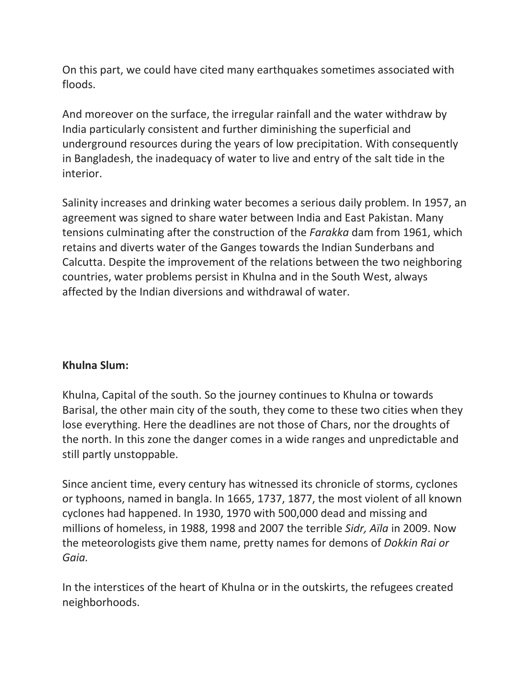On this part, we could have cited many earthquakes sometimes associated with floods.

And moreover on the surface, the irregular rainfall and the water withdraw by India particularly consistent and further diminishing the superficial and underground resources during the years of low precipitation. With consequently in Bangladesh, the inadequacy of water to live and entry of the salt tide in the interior.

Salinity increases and drinking water becomes a serious daily problem. In 1957, an agreement was signed to share water between India and East Pakistan. Many tensions culminating after the construction of the *Farakka* dam from 1961, which retains and diverts water of the Ganges towards the Indian Sunderbans and Calcutta. Despite the improvement of the relations between the two neighboring countries, water problems persist in Khulna and in the South West, always affected by the Indian diversions and withdrawal of water.

#### **Khulna Slum:**

Khulna, Capital of the south. So the journey continues to Khulna or towards Barisal, the other main city of the south, they come to these two cities when they lose everything. Here the deadlines are not those of Chars, nor the droughts of the north. In this zone the danger comes in a wide ranges and unpredictable and still partly unstoppable.

Since ancient time, every century has witnessed its chronicle of storms, cyclones or typhoons, named in bangla. In 1665, 1737, 1877, the most violent of all known cyclones had happened. In 1930, 1970 with 500,000 dead and missing and millions of homeless, in 1988, 1998 and 2007 the terrible *Sidr, Aïla* in 2009. Now the meteorologists give them name, pretty names for demons of *Dokkin Rai or Gaia.*

In the interstices of the heart of Khulna or in the outskirts, the refugees created neighborhoods.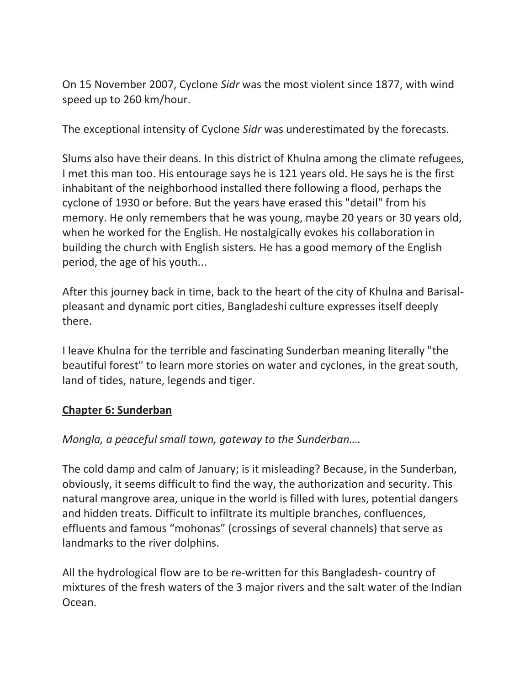On 15 November 2007, Cyclone *Sidr* was the most violent since 1877, with wind speed up to 260 km/hour.

The exceptional intensity of Cyclone *Sidr* was underestimated by the forecasts.

Slums also have their deans. In this district of Khulna among the climate refugees, I met this man too. His entourage says he is 121 years old. He says he is the first inhabitant of the neighborhood installed there following a flood, perhaps the cyclone of 1930 or before. But the years have erased this "detail" from his memory. He only remembers that he was young, maybe 20 years or 30 years old, when he worked for the English. He nostalgically evokes his collaboration in building the church with English sisters. He has a good memory of the English period, the age of his youth...

After this journey back in time, back to the heart of the city of Khulna and Barisalpleasant and dynamic port cities, Bangladeshi culture expresses itself deeply there.

I leave Khulna for the terrible and fascinating Sunderban meaning literally "the beautiful forest" to learn more stories on water and cyclones, in the great south, land of tides, nature, legends and tiger.

#### **Chapter 6: Sunderban**

*Mongla, a peaceful small town, gateway to the Sunderban….*

The cold damp and calm of January; is it misleading? Because, in the Sunderban, obviously, it seems difficult to find the way, the authorization and security. This natural mangrove area, unique in the world is filled with lures, potential dangers and hidden treats. Difficult to infiltrate its multiple branches, confluences, effluents and famous "mohonas" (crossings of several channels) that serve as landmarks to the river dolphins.

All the hydrological flow are to be re-written for this Bangladesh- country of mixtures of the fresh waters of the 3 major rivers and the salt water of the Indian Ocean.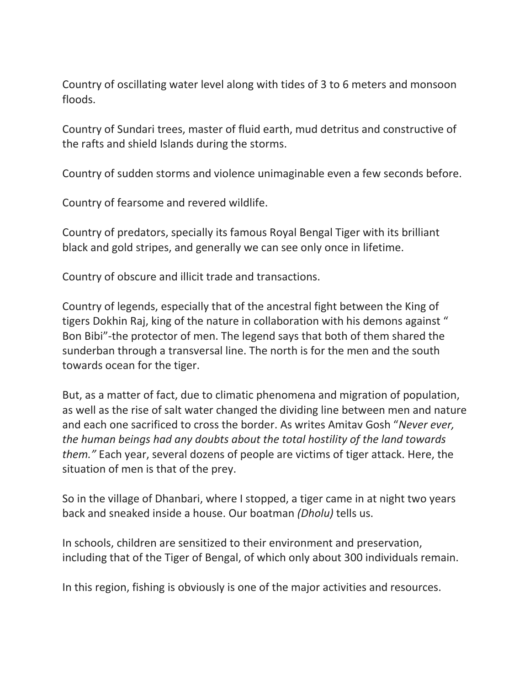Country of oscillating water level along with tides of 3 to 6 meters and monsoon floods.

Country of Sundari trees, master of fluid earth, mud detritus and constructive of the rafts and shield Islands during the storms.

Country of sudden storms and violence unimaginable even a few seconds before.

Country of fearsome and revered wildlife.

Country of predators, specially its famous Royal Bengal Tiger with its brilliant black and gold stripes, and generally we can see only once in lifetime.

Country of obscure and illicit trade and transactions.

Country of legends, especially that of the ancestral fight between the King of tigers Dokhin Raj, king of the nature in collaboration with his demons against " Bon Bibi"-the protector of men. The legend says that both of them shared the sunderban through a transversal line. The north is for the men and the south towards ocean for the tiger.

But, as a matter of fact, due to climatic phenomena and migration of population, as well as the rise of salt water changed the dividing line between men and nature and each one sacrificed to cross the border. As writes Amitav Gosh "*Never ever, the human beings had any doubts about the total hostility of the land towards them."* Each year, several dozens of people are victims of tiger attack. Here, the situation of men is that of the prey.

So in the village of Dhanbari, where I stopped, a tiger came in at night two years back and sneaked inside a house. Our boatman *(Dholu)* tells us.

In schools, children are sensitized to their environment and preservation, including that of the Tiger of Bengal, of which only about 300 individuals remain.

In this region, fishing is obviously is one of the major activities and resources.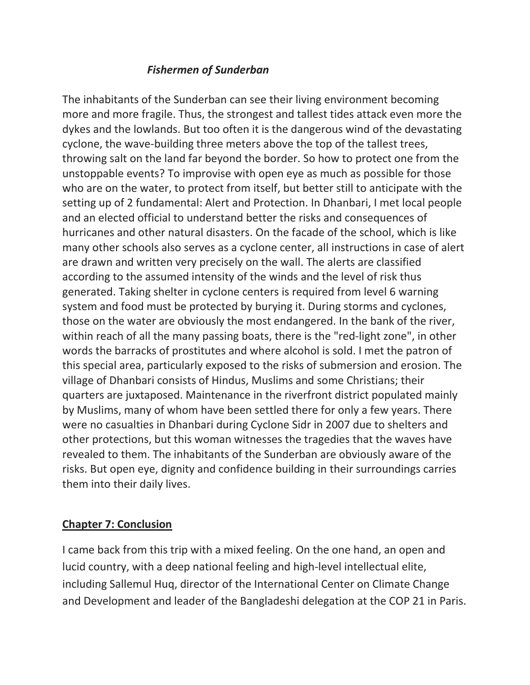### *Fishermen of Sunderban*

The inhabitants of the Sunderban can see their living environment becoming more and more fragile. Thus, the strongest and tallest tides attack even more the dykes and the lowlands. But too often it is the dangerous wind of the devastating cyclone, the wave-building three meters above the top of the tallest trees, throwing salt on the land far beyond the border. So how to protect one from the unstoppable events? To improvise with open eye as much as possible for those who are on the water, to protect from itself, but better still to anticipate with the setting up of 2 fundamental: Alert and Protection. In Dhanbari, I met local people and an elected official to understand better the risks and consequences of hurricanes and other natural disasters. On the facade of the school, which is like many other schools also serves as a cyclone center, all instructions in case of alert are drawn and written very precisely on the wall. The alerts are classified according to the assumed intensity of the winds and the level of risk thus generated. Taking shelter in cyclone centers is required from level 6 warning system and food must be protected by burying it. During storms and cyclones, those on the water are obviously the most endangered. In the bank of the river, within reach of all the many passing boats, there is the "red-light zone", in other words the barracks of prostitutes and where alcohol is sold. I met the patron of this special area, particularly exposed to the risks of submersion and erosion. The village of Dhanbari consists of Hindus, Muslims and some Christians; their quarters are juxtaposed. Maintenance in the riverfront district populated mainly by Muslims, many of whom have been settled there for only a few years. There were no casualties in Dhanbari during Cyclone Sidr in 2007 due to shelters and other protections, but this woman witnesses the tragedies that the waves have revealed to them. The inhabitants of the Sunderban are obviously aware of the risks. But open eye, dignity and confidence building in their surroundings carries them into their daily lives.

#### **Chapter 7: Conclusion**

I came back from this trip with a mixed feeling. On the one hand, an open and lucid country, with a deep national feeling and high-level intellectual elite, including Sallemul Huq, director of the International Center on Climate Change and Development and leader of the Bangladeshi delegation at the COP 21 in Paris.